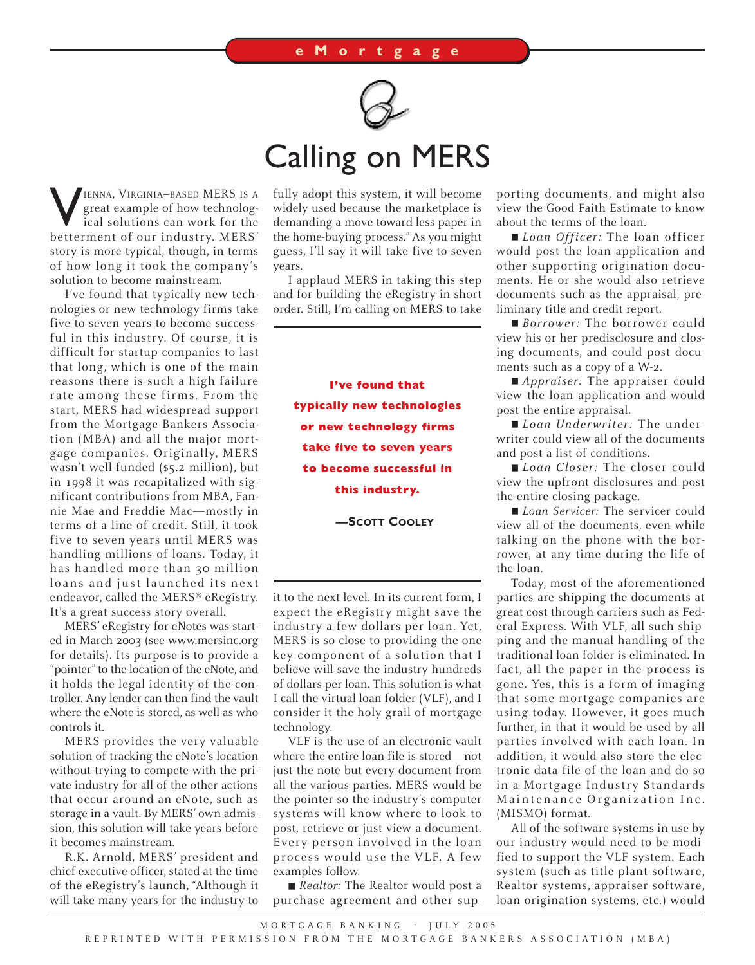

## Calling on MERS

**VIENNA, VIRGINIA–BASED MERS IS A**<br>great example of how technolog-<br>ical solutions can work for the<br>betterment of our industry. MERS' great example of how technologbetterment of our industry. MERS' story is more typical, though, in terms of how long it took the company's solution to become mainstream.

I've found that typically new technologies or new technology firms take five to seven years to become successful in this industry. Of course, it is difficult for startup companies to last that long, which is one of the main reasons there is such a high failure rate among these firms. From the start, MERS had widespread support from the Mortgage Bankers Association (MBA) and all the major mortgage companies. Originally, MERS wasn't well-funded (\$5.2 million), but in 1998 it was recapitalized with significant contributions from MBA, Fannie Mae and Freddie Mac—mostly in terms of a line of credit. Still, it took five to seven years until MERS was handling millions of loans. Today, it has handled more than 30 million loans and just launched its next endeavor, called the MERS® eRegistry. It's a great success story overall.

MERS' eRegistry for eNotes was started in March 2003 (see www.mersinc.org for details). Its purpose is to provide a "pointer" to the location of the eNote, and it holds the legal identity of the controller. Any lender can then find the vault where the eNote is stored, as well as who controls it.

MERS provides the very valuable solution of tracking the eNote's location without trying to compete with the private industry for all of the other actions that occur around an eNote, such as storage in a vault. By MERS' own admission, this solution will take years before it becomes mainstream.

R.K. Arnold, MERS' president and chief executive officer, stated at the time of the eRegistry's launch, "Although it will take many years for the industry to fully adopt this system, it will become widely used because the marketplace is demanding a move toward less paper in the home-buying process." As you might guess, I'll say it will take five to seven years.

I applaud MERS in taking this step and for building the eRegistry in short order. Still, I'm calling on MERS to take

> **I've found that typically new technologies or new technology firms take five to seven years to become successful in this industry.**

> > **—SCOTT COOLEY**

it to the next level. In its current form, I expect the eRegistry might save the industry a few dollars per loan. Yet, MERS is so close to providing the one key component of a solution that I believe will save the industry hundreds of dollars per loan. This solution is what I call the virtual loan folder (VLF), and I consider it the holy grail of mortgage technology.

VLF is the use of an electronic vault where the entire loan file is stored—not just the note but every document from all the various parties. MERS would be the pointer so the industry's computer systems will know where to look to post, retrieve or just view a document. Every person involved in the loan process would use the VLF. A few examples follow.

■ *Realtor:* The Realtor would post a purchase agreement and other supporting documents, and might also view the Good Faith Estimate to know about the terms of the loan.

■ *Loan Officer:* The loan officer would post the loan application and other supporting origination documents. He or she would also retrieve documents such as the appraisal, preliminary title and credit report.

■ *Borrower:* The borrower could view his or her predisclosure and closing documents, and could post documents such as a copy of a W-2.

■ *Appraiser:* The appraiser could view the loan application and would post the entire appraisal.

■ *Loan Underwriter:* The underwriter could view all of the documents and post a list of conditions.

■ *Loan Closer:* The closer could view the upfront disclosures and post the entire closing package.

■ *Loan Servicer:* The servicer could view all of the documents, even while talking on the phone with the borrower, at any time during the life of the loan.

Today, most of the aforementioned parties are shipping the documents at great cost through carriers such as Federal Express. With VLF, all such shipping and the manual handling of the traditional loan folder is eliminated. In fact, all the paper in the process is gone. Yes, this is a form of imaging that some mortgage companies are using today. However, it goes much further, in that it would be used by all parties involved with each loan. In addition, it would also store the electronic data file of the loan and do so in a Mortgage Industry Standards Maintenance Organization Inc. (MISMO) format.

All of the software systems in use by our industry would need to be modified to support the VLF system. Each system (such as title plant software, Realtor systems, appraiser software, loan origination systems, etc.) would